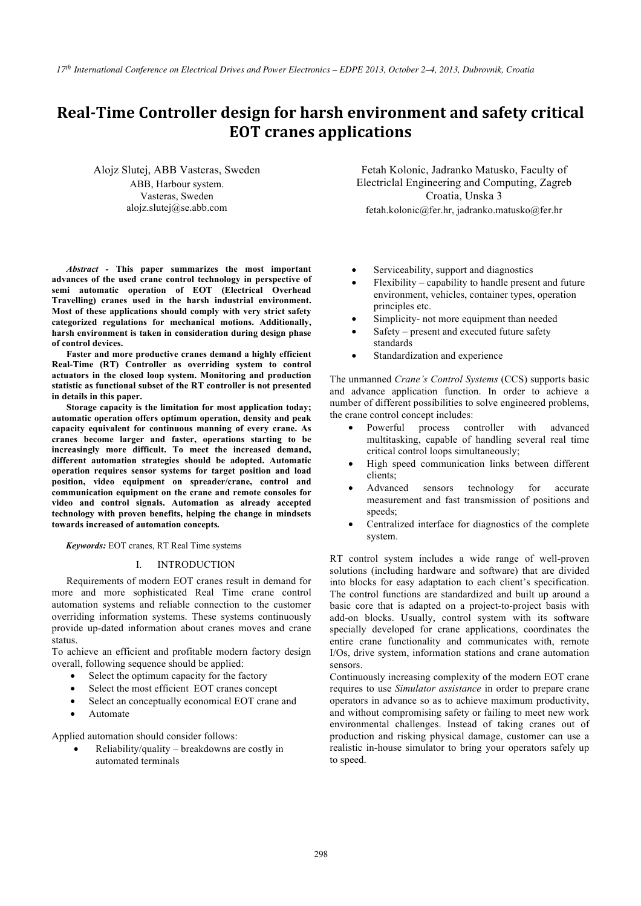# Real-Time Controller design for harsh environment and safety critical **EOT** cranes applications

Alojz Slutej, ABB Vasteras, Sweden ABB, Harbour system. Vasteras, Sweden alojz.slutej@se.abb.com

*Abstract -* **This paper summarizes the most important advances of the used crane control technology in perspective of semi automatic operation of EOT (Electrical Overhead Travelling) cranes used in the harsh industrial environment. Most of these applications should comply with very strict safety categorized regulations for mechanical motions. Additionally, harsh environment is taken in consideration during design phase of control devices.** 

**Faster and more productive cranes demand a highly efficient Real-Time (RT) Controller as overriding system to control actuators in the closed loop system. Monitoring and production statistic as functional subset of the RT controller is not presented in details in this paper.**

**Storage capacity is the limitation for most application today; automatic operation offers optimum operation, density and peak capacity equivalent for continuous manning of every crane. As cranes become larger and faster, operations starting to be increasingly more difficult. To meet the increased demand, different automation strategies should be adopted. Automatic operation requires sensor systems for target position and load position, video equipment on spreader/crane, control and communication equipment on the crane and remote consoles for video and control signals. Automation as already accepted technology with proven benefits, helping the change in mindsets towards increased of automation concepts***.*

*Keywords:* EOT cranes, RT Real Time systems

#### I. INTRODUCTION

Requirements of modern EOT cranes result in demand for more and more sophisticated Real Time crane control automation systems and reliable connection to the customer overriding information systems. These systems continuously provide up-dated information about cranes moves and crane status.

To achieve an efficient and profitable modern factory design overall, following sequence should be applied:

- Select the optimum capacity for the factory
- Select the most efficient EOT cranes concept
- Select an conceptually economical EOT crane and
- Automate

Applied automation should consider follows:

• Reliability/quality – breakdowns are costly in automated terminals

Fetah Kolonic, Jadranko Matusko, Faculty of Electriclal Engineering and Computing, Zagreb Croatia, Unska 3 fetah.kolonic@fer.hr, jadranko.matusko@fer.hr

- Serviceability, support and diagnostics
- Flexibility capability to handle present and future environment, vehicles, container types, operation principles etc.
- Simplicity- not more equipment than needed
- Safety present and executed future safety standards
- Standardization and experience

The unmanned *Crane's Control Systems* (CCS) supports basic and advance application function. In order to achieve a number of different possibilities to solve engineered problems, the crane control concept includes:

- Powerful process controller with advanced multitasking, capable of handling several real time critical control loops simultaneously;
- High speed communication links between different clients;
- Advanced sensors technology for accurate measurement and fast transmission of positions and speeds:
- Centralized interface for diagnostics of the complete system.

RT control system includes a wide range of well-proven solutions (including hardware and software) that are divided into blocks for easy adaptation to each client's specification. The control functions are standardized and built up around a basic core that is adapted on a project-to-project basis with add-on blocks. Usually, control system with its software specially developed for crane applications, coordinates the entire crane functionality and communicates with, remote I/Os, drive system, information stations and crane automation sensors.

Continuously increasing complexity of the modern EOT crane requires to use *Simulator assistance* in order to prepare crane operators in advance so as to achieve maximum productivity, and without compromising safety or failing to meet new work environmental challenges. Instead of taking cranes out of production and risking physical damage, customer can use a realistic in-house simulator to bring your operators safely up to speed.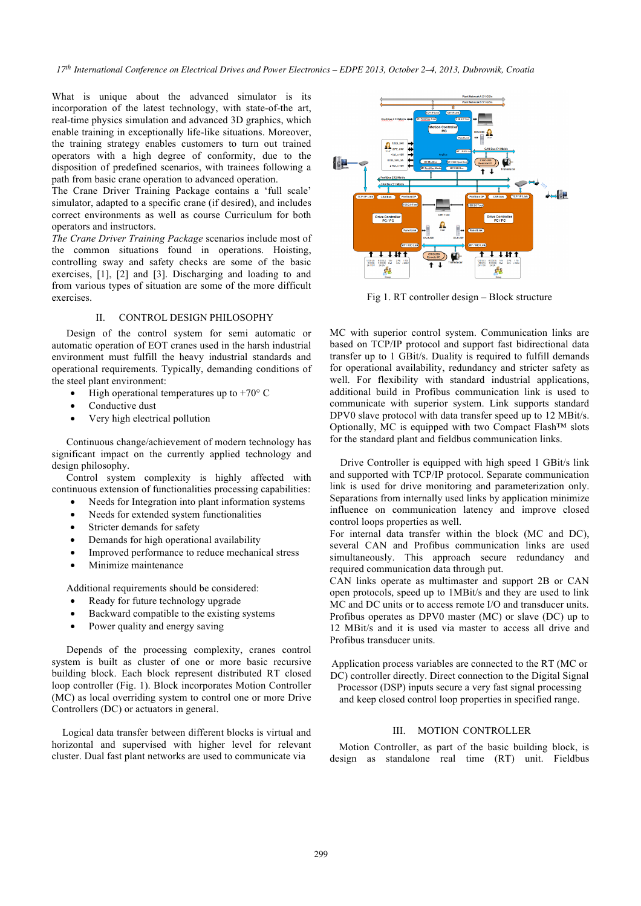*17th International Conference on Electrical Drives and Power Electronics – EDPE 2013, October 2–4, 2013, Dubrovnik, Croatia*

What is unique about the advanced simulator is its incorporation of the latest technology, with state-of-the art, real-time physics simulation and advanced 3D graphics, which enable training in exceptionally life-like situations. Moreover, the training strategy enables customers to turn out trained operators with a high degree of conformity, due to the disposition of predefined scenarios, with trainees following a path from basic crane operation to advanced operation.

The Crane Driver Training Package contains a 'full scale' simulator, adapted to a specific crane (if desired), and includes correct environments as well as course Curriculum for both operators and instructors.

*The Crane Driver Training Package* scenarios include most of the common situations found in operations. Hoisting, controlling sway and safety checks are some of the basic exercises, [1], [2] and [3]. Discharging and loading to and from various types of situation are some of the more difficult exercises.

## II. CONTROL DESIGN PHILOSOPHY

Design of the control system for semi automatic or automatic operation of EOT cranes used in the harsh industrial environment must fulfill the heavy industrial standards and operational requirements. Typically, demanding conditions of the steel plant environment:

- High operational temperatures up to  $+70^{\circ}$  C
- Conductive dust
- Very high electrical pollution

Continuous change/achievement of modern technology has significant impact on the currently applied technology and design philosophy.

Control system complexity is highly affected with continuous extension of functionalities processing capabilities:

- Needs for Integration into plant information systems
- Needs for extended system functionalities
- Stricter demands for safety
- Demands for high operational availability
- Improved performance to reduce mechanical stress
- Minimize maintenance

Additional requirements should be considered:

- Ready for future technology upgrade
- Backward compatible to the existing systems
- Power quality and energy saving

Depends of the processing complexity, cranes control system is built as cluster of one or more basic recursive building block. Each block represent distributed RT closed loop controller (Fig. 1). Block incorporates Motion Controller (MC) as local overriding system to control one or more Drive Controllers (DC) or actuators in general.

Logical data transfer between different blocks is virtual and horizontal and supervised with higher level for relevant cluster. Dual fast plant networks are used to communicate via



Fig 1. RT controller design – Block structure

MC with superior control system. Communication links are based on TCP/IP protocol and support fast bidirectional data transfer up to 1 GBit/s. Duality is required to fulfill demands for operational availability, redundancy and stricter safety as well. For flexibility with standard industrial applications, additional build in Profibus communication link is used to communicate with superior system. Link supports standard DPV0 slave protocol with data transfer speed up to 12 MBit/s. Optionally, MC is equipped with two Compact Flash<sup>TM</sup> slots for the standard plant and fieldbus communication links.

Drive Controller is equipped with high speed 1 GBit/s link and supported with TCP/IP protocol. Separate communication link is used for drive monitoring and parameterization only. Separations from internally used links by application minimize influence on communication latency and improve closed control loops properties as well.

For internal data transfer within the block (MC and DC), several CAN and Profibus communication links are used simultaneously. This approach secure redundancy and required communication data through put.

CAN links operate as multimaster and support 2B or CAN open protocols, speed up to 1MBit/s and they are used to link MC and DC units or to access remote I/O and transducer units. Profibus operates as DPV0 master (MC) or slave (DC) up to 12 MBit/s and it is used via master to access all drive and Profibus transducer units.

Application process variables are connected to the RT (MC or DC) controller directly. Direct connection to the Digital Signal Processor (DSP) inputs secure a very fast signal processing and keep closed control loop properties in specified range.

## III. MOTION CONTROLLER

Motion Controller, as part of the basic building block, is design as standalone real time (RT) unit. Fieldbus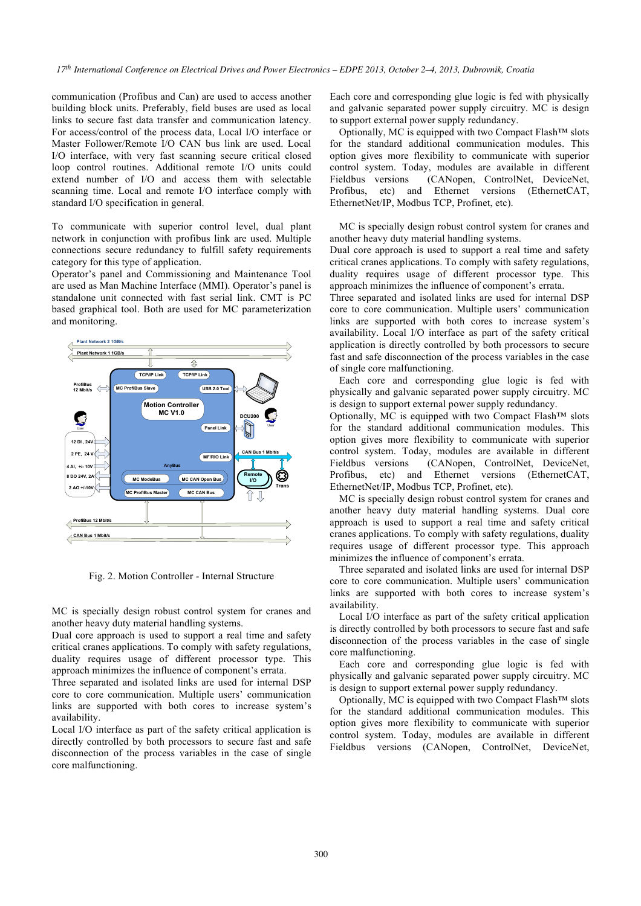communication (Profibus and Can) are used to access another building block units. Preferably, field buses are used as local links to secure fast data transfer and communication latency. For access/control of the process data, Local I/O interface or Master Follower/Remote I/O CAN bus link are used. Local I/O interface, with very fast scanning secure critical closed loop control routines. Additional remote I/O units could extend number of I/O and access them with selectable scanning time. Local and remote I/O interface comply with standard I/O specification in general.

To communicate with superior control level, dual plant network in conjunction with profibus link are used. Multiple connections secure redundancy to fulfill safety requirements category for this type of application.

Operator's panel and Commissioning and Maintenance Tool are used as Man Machine Interface (MMI). Operator's panel is standalone unit connected with fast serial link. CMT is PC based graphical tool. Both are used for MC parameterization and monitoring.



Fig. 2. Motion Controller - Internal Structure

MC is specially design robust control system for cranes and another heavy duty material handling systems.

Dual core approach is used to support a real time and safety critical cranes applications. To comply with safety regulations, duality requires usage of different processor type. This approach minimizes the influence of component's errata.

Three separated and isolated links are used for internal DSP core to core communication. Multiple users' communication links are supported with both cores to increase system's availability.

Local I/O interface as part of the safety critical application is directly controlled by both processors to secure fast and safe disconnection of the process variables in the case of single core malfunctioning.

Each core and corresponding glue logic is fed with physically and galvanic separated power supply circuitry. MC is design to support external power supply redundancy.

Optionally, MC is equipped with two Compact Flash™ slots for the standard additional communication modules. This option gives more flexibility to communicate with superior control system. Today, modules are available in different Fieldbus versions (CANopen, ControlNet, DeviceNet, Profibus, etc) and Ethernet versions (EthernetCAT, EthernetNet/IP, Modbus TCP, Profinet, etc).

MC is specially design robust control system for cranes and another heavy duty material handling systems. Dual core approach is used to support a real time and safety

critical cranes applications. To comply with safety regulations, duality requires usage of different processor type. This approach minimizes the influence of component's errata.

Three separated and isolated links are used for internal DSP core to core communication. Multiple users' communication links are supported with both cores to increase system's availability. Local I/O interface as part of the safety critical application is directly controlled by both processors to secure fast and safe disconnection of the process variables in the case of single core malfunctioning.

Each core and corresponding glue logic is fed with physically and galvanic separated power supply circuitry. MC is design to support external power supply redundancy.

Optionally, MC is equipped with two Compact Flash<sup>TM</sup> slots for the standard additional communication modules. This option gives more flexibility to communicate with superior control system. Today, modules are available in different Fieldbus versions (CANopen, ControlNet, DeviceNet, Profibus, etc) and Ethernet versions (EthernetCAT, EthernetNet/IP, Modbus TCP, Profinet, etc).

MC is specially design robust control system for cranes and another heavy duty material handling systems. Dual core approach is used to support a real time and safety critical cranes applications. To comply with safety regulations, duality requires usage of different processor type. This approach minimizes the influence of component's errata.

Three separated and isolated links are used for internal DSP core to core communication. Multiple users' communication links are supported with both cores to increase system's availability.

Local I/O interface as part of the safety critical application is directly controlled by both processors to secure fast and safe disconnection of the process variables in the case of single core malfunctioning.

Each core and corresponding glue logic is fed with physically and galvanic separated power supply circuitry. MC is design to support external power supply redundancy.

Optionally, MC is equipped with two Compact Flash™ slots for the standard additional communication modules. This option gives more flexibility to communicate with superior control system. Today, modules are available in different Fieldbus versions (CANopen, ControlNet, DeviceNet,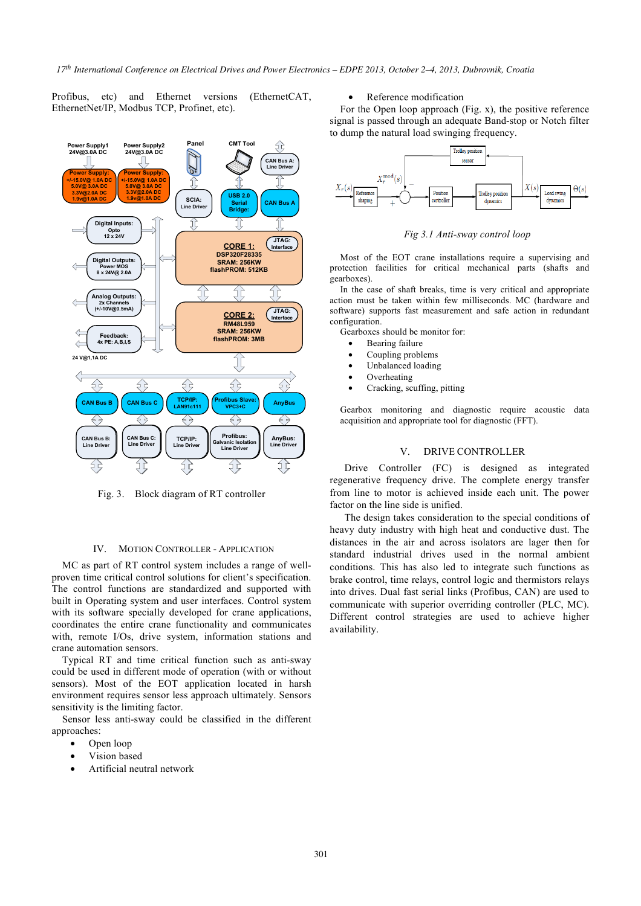Profibus, etc) and Ethernet versions (EthernetCAT, EthernetNet/IP, Modbus TCP, Profinet, etc).



Fig. 3. Block diagram of RT controller

#### IV. MOTION CONTROLLER - APPLICATION

MC as part of RT control system includes a range of wellproven time critical control solutions for client's specification. The control functions are standardized and supported with built in Operating system and user interfaces. Control system with its software specially developed for crane applications, coordinates the entire crane functionality and communicates with, remote I/Os, drive system, information stations and crane automation sensors.

Typical RT and time critical function such as anti-sway could be used in different mode of operation (with or without sensors). Most of the EOT application located in harsh environment requires sensor less approach ultimately. Sensors sensitivity is the limiting factor.

Sensor less anti-sway could be classified in the different approaches:

- Open loop
- Vision based
- Artificial neutral network

## Reference modification

For the Open loop approach (Fig. x), the positive reference signal is passed through an adequate Band-stop or Notch filter to dump the natural load swinging frequency.



*Fig 3.1 Anti-sway control loop*

Most of the EOT crane installations require a supervising and protection facilities for critical mechanical parts (shafts and gearboxes).

In the case of shaft breaks, time is very critical and appropriate action must be taken within few milliseconds. MC (hardware and software) supports fast measurement and safe action in redundant configuration.

Gearboxes should be monitor for:

- Bearing failure
- Coupling problems
- Unbalanced loading
- **Overheating**
- Cracking, scuffing, pitting

Gearbox monitoring and diagnostic require acoustic data acquisition and appropriate tool for diagnostic (FFT).

## V. DRIVE CONTROLLER

Drive Controller (FC) is designed as integrated regenerative frequency drive. The complete energy transfer from line to motor is achieved inside each unit. The power factor on the line side is unified.

The design takes consideration to the special conditions of heavy duty industry with high heat and conductive dust. The distances in the air and across isolators are lager then for standard industrial drives used in the normal ambient conditions. This has also led to integrate such functions as brake control, time relays, control logic and thermistors relays into drives. Dual fast serial links (Profibus, CAN) are used to communicate with superior overriding controller (PLC, MC). Different control strategies are used to achieve higher availability.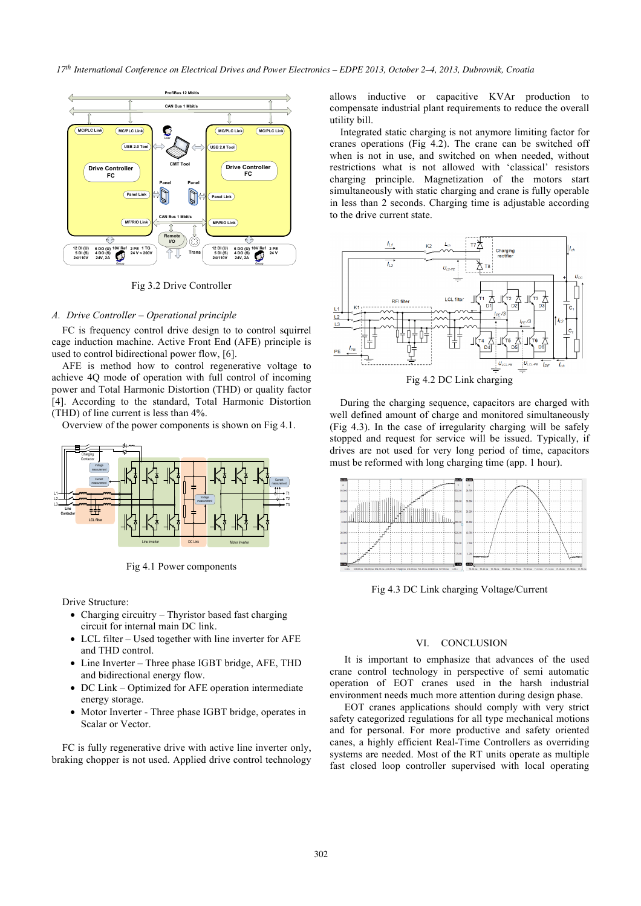

Fig 3.2 Drive Controller

#### *A. Drive Controller – Operational principle*

FC is frequency control drive design to to control squirrel cage induction machine. Active Front End (AFE) principle is used to control bidirectional power flow, [6].

AFE is method how to control regenerative voltage to achieve 4Q mode of operation with full control of incoming power and Total Harmonic Distortion (THD) or quality factor [4]. According to the standard, Total Harmonic Distortion (THD) of line current is less than 4%.

Overview of the power components is shown on Fig 4.1.



Fig 4.1 Power components

Drive Structure:

- Charging circuitry Thyristor based fast charging circuit for internal main DC link.
- LCL filter Used together with line inverter for AFE and THD control.
- Line Inverter Three phase IGBT bridge, AFE, THD and bidirectional energy flow.
- DC Link Optimized for AFE operation intermediate energy storage.
- Motor Inverter Three phase IGBT bridge, operates in Scalar or Vector.

FC is fully regenerative drive with active line inverter only, braking chopper is not used. Applied drive control technology allows inductive or capacitive KVAr production to compensate industrial plant requirements to reduce the overall utility bill.

Integrated static charging is not anymore limiting factor for cranes operations (Fig 4.2). The crane can be switched off when is not in use, and switched on when needed, without restrictions what is not allowed with 'classical' resistors charging principle. Magnetization of the motors start simultaneously with static charging and crane is fully operable in less than 2 seconds. Charging time is adjustable according to the drive current state.



Fig 4.2 DC Link charging

During the charging sequence, capacitors are charged with well defined amount of charge and monitored simultaneously (Fig 4.3). In the case of irregularity charging will be safely stopped and request for service will be issued. Typically, if drives are not used for very long period of time, capacitors must be reformed with long charging time (app. 1 hour).



Fig 4.3 DC Link charging Voltage/Current

#### VI. CONCLUSION

It is important to emphasize that advances of the used crane control technology in perspective of semi automatic operation of EOT cranes used in the harsh industrial environment needs much more attention during design phase.

EOT cranes applications should comply with very strict safety categorized regulations for all type mechanical motions and for personal. For more productive and safety oriented canes, a highly efficient Real-Time Controllers as overriding systems are needed. Most of the RT units operate as multiple fast closed loop controller supervised with local operating